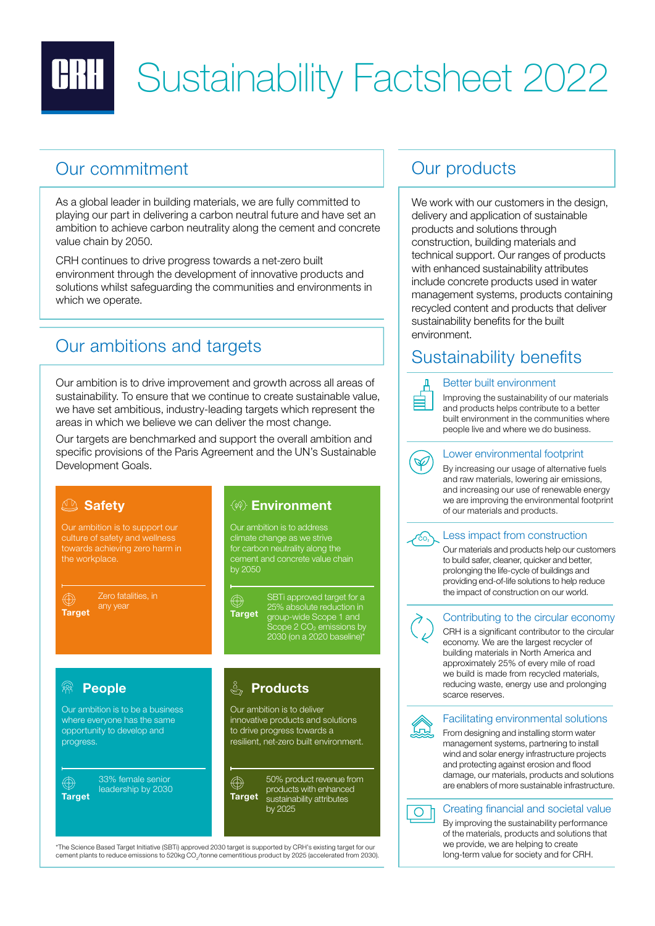

# **BIII** Sustainability Factsheet 2022

## Our commitment and a commitment our products

As a global leader in building materials, we are fully committed to playing our part in delivering a carbon neutral future and have set an ambition to achieve carbon neutrality along the cement and concrete value chain by 2050.

CRH continues to drive progress towards a net-zero built environment through the development of innovative products and solutions whilst safeguarding the communities and environments in which we operate.

## Our ambitions and targets

Our ambition is to drive improvement and growth across all areas of sustainability. To ensure that we continue to create sustainable value, we have set ambitious, industry-leading targets which represent the areas in which we believe we can deliver the most change.

Our targets are benchmarked and support the overall ambition and specific provisions of the Paris Agreement and the UN's Sustainable Development Goals.



\*The Science Based Target Initiative (SBTi) approved 2030 target is supported by CRH's existing target for our cement plants to reduce emissions to 520kg CO2/tonne cementitious product by 2025 (accelerated from 2030).

We work with our customers in the design, delivery and application of sustainable products and solutions through construction, building materials and technical support. Our ranges of products with enhanced sustainability attributes include concrete products used in water management systems, products containing recycled content and products that deliver sustainability benefits for the built environment.

## Sustainability benefits



#### Better built environment

Improving the sustainability of our materials and products helps contribute to a better built environment in the communities where people live and where we do business.



### Lower environmental footprint

By increasing our usage of alternative fuels and raw materials, lowering air emissions, and increasing our use of renewable energy we are improving the environmental footprint of our materials and products.



### Less impact from construction

Our materials and products help our customers to build safer, cleaner, quicker and better, prolonging the life-cycle of buildings and providing end-of-life solutions to help reduce the impact of construction on our world.

### Contributing to the circular economy

CRH is a significant contributor to the circular economy. We are the largest recycler of building materials in North America and approximately 25% of every mile of road we build is made from recycled materials, reducing waste, energy use and prolonging scarce reserves.



 $\circ$  h

#### Facilitating environmental solutions

From designing and installing storm water management systems, partnering to install wind and solar energy infrastructure projects and protecting against erosion and flood damage, our materials, products and solutions are enablers of more sustainable infrastructure.

### Creating financial and societal value

By improving the sustainability performance of the materials, products and solutions that we provide, we are helping to create long-term value for society and for CRH.